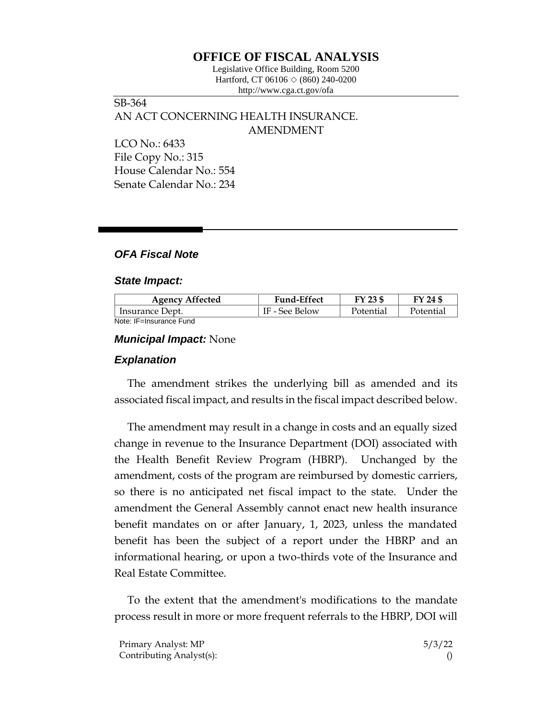# **OFFICE OF FISCAL ANALYSIS**

Legislative Office Building, Room 5200 Hartford, CT 06106  $\Diamond$  (860) 240-0200 http://www.cga.ct.gov/ofa

SB-364 AN ACT CONCERNING HEALTH INSURANCE. AMENDMENT LCO No.: 6433

File Copy No.: 315 House Calendar No.: 554 Senate Calendar No.: 234

## *OFA Fiscal Note*

#### *State Impact:*

| <b>Agency Affected</b>  | <b>Fund-Effect</b> | FY 23 \$  | FY 24 \$  |
|-------------------------|--------------------|-----------|-----------|
| Insurance Dept.         | IF - See Below     | Potential | Potential |
| Note: IF=Insurance Fund |                    |           |           |

### *Municipal Impact:* None

#### *Explanation*

The amendment strikes the underlying bill as amended and its associated fiscal impact, and results in the fiscal impact described below.

The amendment may result in a change in costs and an equally sized change in revenue to the Insurance Department (DOI) associated with the Health Benefit Review Program (HBRP). Unchanged by the amendment, costs of the program are reimbursed by domestic carriers, so there is no anticipated net fiscal impact to the state. Under the amendment the General Assembly cannot enact new health insurance benefit mandates on or after January, 1, 2023, unless the mandated benefit has been the subject of a report under the HBRP and an informational hearing, or upon a two-thirds vote of the Insurance and Real Estate Committee.

To the extent that the amendment's modifications to the mandate process result in more or more frequent referrals to the HBRP, DOI will

| Primary Analyst: MP      | 5/3/22 |
|--------------------------|--------|
| Contributing Analyst(s): |        |